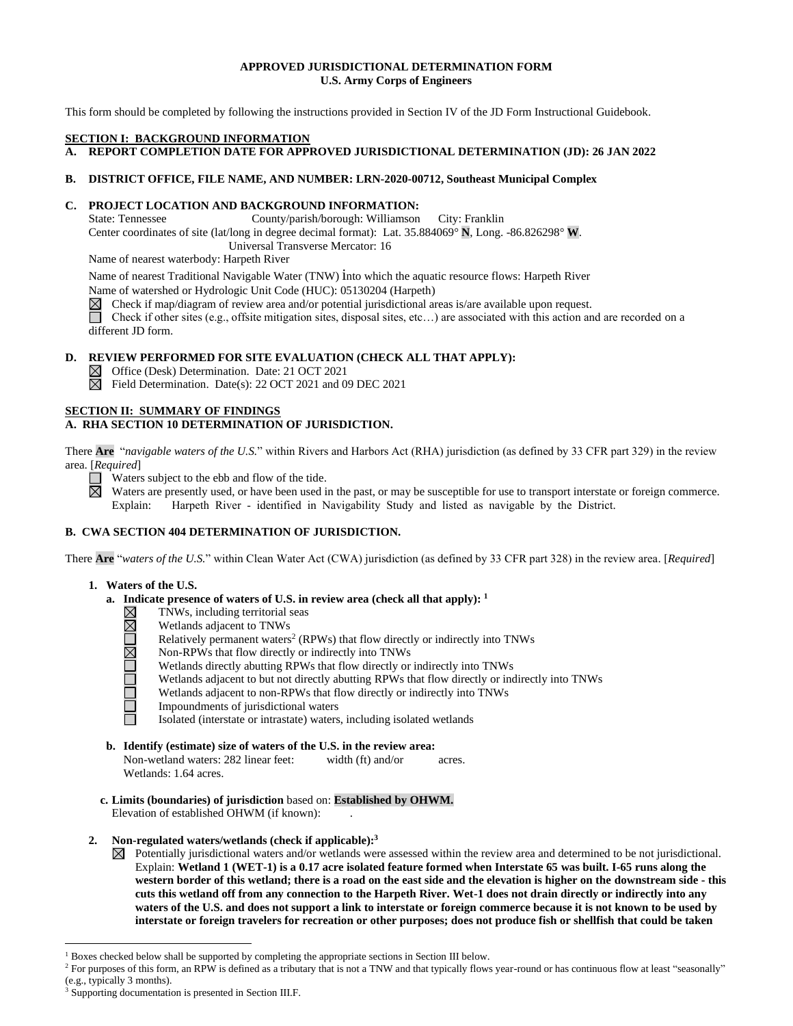## **APPROVED JURISDICTIONAL DETERMINATION FORM U.S. Army Corps of Engineers**

This form should be completed by following the instructions provided in Section IV of the JD Form Instructional Guidebook.

#### **SECTION I: BACKGROUND INFORMATION**

**A. REPORT COMPLETION DATE FOR APPROVED JURISDICTIONAL DETERMINATION (JD): 26 JAN 2022**

## **B. DISTRICT OFFICE, FILE NAME, AND NUMBER: LRN-2020-00712, Southeast Municipal Complex**

# **C. PROJECT LOCATION AND BACKGROUND INFORMATION:**

State: Tennessee County/parish/borough: Williamson City: Franklin

Center coordinates of site (lat/long in degree decimal format): Lat. 35.884069° **N**, Long. -86.826298° **W**.

Universal Transverse Mercator: 16

Name of nearest waterbody: Harpeth River

Name of nearest Traditional Navigable Water (TNW) into which the aquatic resource flows: Harpeth River Name of watershed or Hydrologic Unit Code (HUC): 05130204 (Harpeth)

 $\boxtimes$ Check if map/diagram of review area and/or potential jurisdictional areas is/are available upon request.

Check if other sites (e.g., offsite mitigation sites, disposal sites, etc…) are associated with this action and are recorded on a different JD form.

# **D. REVIEW PERFORMED FOR SITE EVALUATION (CHECK ALL THAT APPLY):**

- Office (Desk) Determination. Date: 21 OCT 2021
- $\boxtimes$  Field Determination. Date(s): 22 OCT 2021 and 09 DEC 2021

## **SECTION II: SUMMARY OF FINDINGS**

# **A. RHA SECTION 10 DETERMINATION OF JURISDICTION.**

There **Are** "*navigable waters of the U.S.*" within Rivers and Harbors Act (RHA) jurisdiction (as defined by 33 CFR part 329) in the review area. [*Required*]

Waters subject to the ebb and flow of the tide.  $\overline{\boxtimes}$ 

Waters are presently used, or have been used in the past, or may be susceptible for use to transport interstate or foreign commerce. Explain: Harpeth River - identified in Navigability Study and listed as navigable by the District.

## **B. CWA SECTION 404 DETERMINATION OF JURISDICTION.**

There **Are** "*waters of the U.S.*" within Clean Water Act (CWA) jurisdiction (as defined by 33 CFR part 328) in the review area. [*Required*]

- **1. Waters of the U.S.**
	- **a. Indicate presence of waters of U.S. in review area (check all that apply): 1**
		- ⊠ TNWs, including territorial seas
			- Wetlands adjacent to TNWs
		- DUUMOM Relatively permanent waters<sup>2</sup> (RPWs) that flow directly or indirectly into TNWs
			- Non-RPWs that flow directly or indirectly into TNWs
			- Wetlands directly abutting RPWs that flow directly or indirectly into TNWs
		- Wetlands adjacent to but not directly abutting RPWs that flow directly or indirectly into TNWs
		- Wetlands adjacent to non-RPWs that flow directly or indirectly into TNWs
		- Impoundments of jurisdictional waters

Isolated (interstate or intrastate) waters, including isolated wetlands

- **b. Identify (estimate) size of waters of the U.S. in the review area:**
	- Non-wetland waters: 282 linear feet: width (ft) and/or acres. Wetlands: 1.64 acres.
- **c. Limits (boundaries) of jurisdiction** based on: **Established by OHWM.** Elevation of established OHWM (if known):
- **2. Non-regulated waters/wetlands (check if applicable): 3**
	- $\boxtimes$  Potentially jurisdictional waters and/or wetlands were assessed within the review area and determined to be not jurisdictional. Explain: **Wetland 1 (WET-1) is a 0.17 acre isolated feature formed when Interstate 65 was built. I-65 runs along the western border of this wetland; there is a road on the east side and the elevation is higher on the downstream side - this cuts this wetland off from any connection to the Harpeth River. Wet-1 does not drain directly or indirectly into any waters of the U.S. and does not support a link to interstate or foreign commerce because it is not known to be used by interstate or foreign travelers for recreation or other purposes; does not produce fish or shellfish that could be taken**

<sup>1</sup> Boxes checked below shall be supported by completing the appropriate sections in Section III below.

<sup>&</sup>lt;sup>2</sup> For purposes of this form, an RPW is defined as a tributary that is not a TNW and that typically flows year-round or has continuous flow at least "seasonally" (e.g., typically 3 months).

<sup>3</sup> Supporting documentation is presented in Section III.F.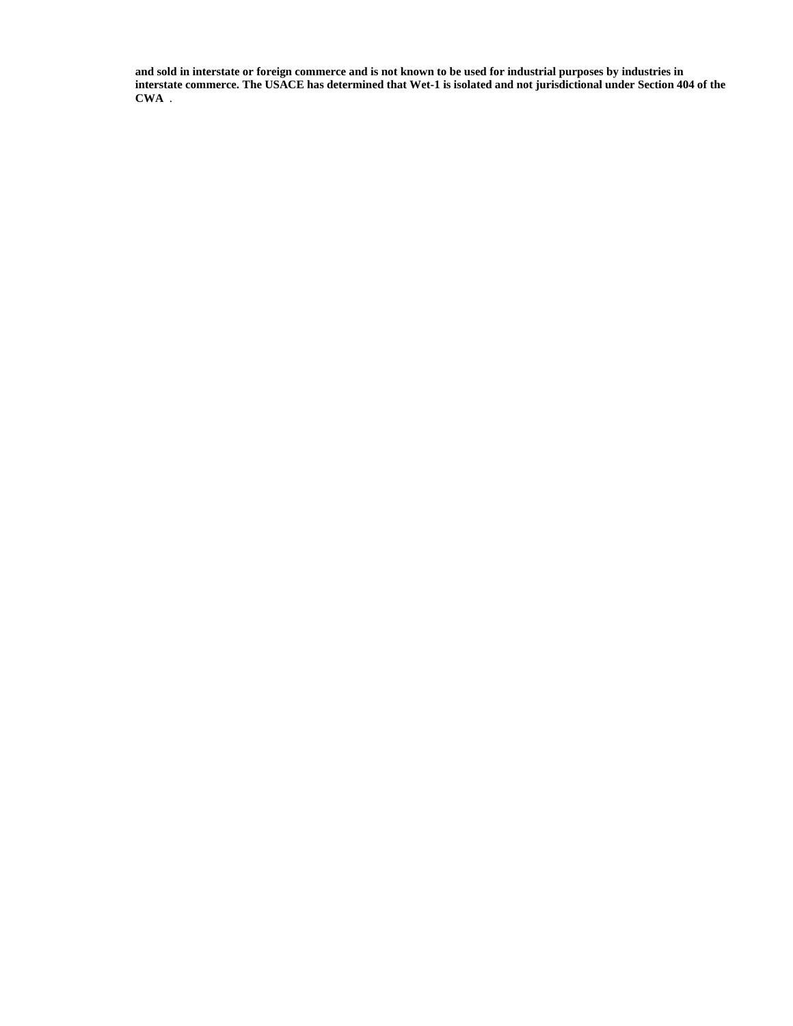**and sold in interstate or foreign commerce and is not known to be used for industrial purposes by industries in interstate commerce. The USACE has determined that Wet-1 is isolated and not jurisdictional under Section 404 of the CWA** .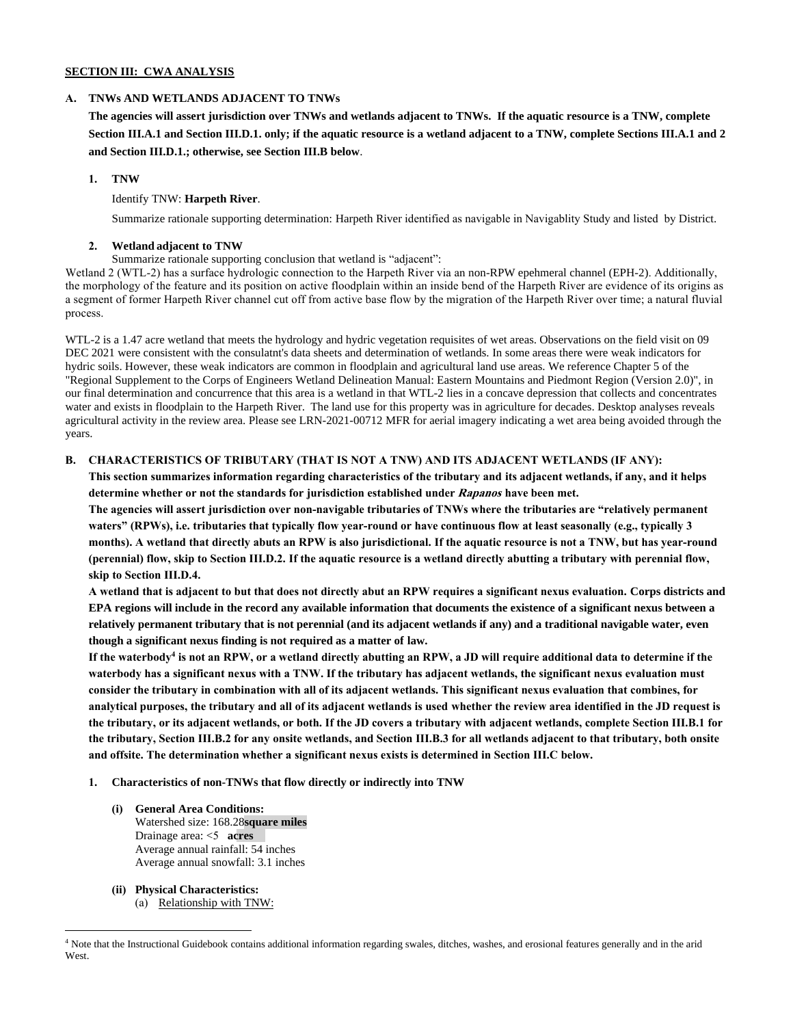### **SECTION III: CWA ANALYSIS**

### **A. TNWs AND WETLANDS ADJACENT TO TNWs**

**The agencies will assert jurisdiction over TNWs and wetlands adjacent to TNWs. If the aquatic resource is a TNW, complete Section III.A.1 and Section III.D.1. only; if the aquatic resource is a wetland adjacent to a TNW, complete Sections III.A.1 and 2 and Section III.D.1.; otherwise, see Section III.B below**.

### **1. TNW**

## Identify TNW: **Harpeth River**.

Summarize rationale supporting determination: Harpeth River identified as navigable in Navigablity Study and listed by District.

### **2. Wetland adjacent to TNW**

### Summarize rationale supporting conclusion that wetland is "adjacent":

Wetland 2 (WTL-2) has a surface hydrologic connection to the Harpeth River via an non-RPW epehmeral channel (EPH-2). Additionally, the morphology of the feature and its position on active floodplain within an inside bend of the Harpeth River are evidence of its origins as a segment of former Harpeth River channel cut off from active base flow by the migration of the Harpeth River over time; a natural fluvial process.

WTL-2 is a 1.47 acre wetland that meets the hydrology and hydric vegetation requisites of wet areas. Observations on the field visit on 09 DEC 2021 were consistent with the consulatnt's data sheets and determination of wetlands. In some areas there were weak indicators for hydric soils. However, these weak indicators are common in floodplain and agricultural land use areas. We reference Chapter 5 of the "Regional Supplement to the Corps of Engineers Wetland Delineation Manual: Eastern Mountains and Piedmont Region (Version 2.0)", in our final determination and concurrence that this area is a wetland in that WTL-2 lies in a concave depression that collects and concentrates water and exists in floodplain to the Harpeth River. The land use for this property was in agriculture for decades. Desktop analyses reveals agricultural activity in the review area. Please see LRN-2021-00712 MFR for aerial imagery indicating a wet area being avoided through the years.

## **B. CHARACTERISTICS OF TRIBUTARY (THAT IS NOT A TNW) AND ITS ADJACENT WETLANDS (IF ANY):**

**This section summarizes information regarding characteristics of the tributary and its adjacent wetlands, if any, and it helps determine whether or not the standards for jurisdiction established under Rapanos have been met.**

**The agencies will assert jurisdiction over non-navigable tributaries of TNWs where the tributaries are "relatively permanent waters" (RPWs), i.e. tributaries that typically flow year-round or have continuous flow at least seasonally (e.g., typically 3 months). A wetland that directly abuts an RPW is also jurisdictional. If the aquatic resource is not a TNW, but has year-round (perennial) flow, skip to Section III.D.2. If the aquatic resource is a wetland directly abutting a tributary with perennial flow, skip to Section III.D.4.**

**A wetland that is adjacent to but that does not directly abut an RPW requires a significant nexus evaluation. Corps districts and EPA regions will include in the record any available information that documents the existence of a significant nexus between a relatively permanent tributary that is not perennial (and its adjacent wetlands if any) and a traditional navigable water, even though a significant nexus finding is not required as a matter of law.**

**If the waterbody<sup>4</sup> is not an RPW, or a wetland directly abutting an RPW, a JD will require additional data to determine if the waterbody has a significant nexus with a TNW. If the tributary has adjacent wetlands, the significant nexus evaluation must consider the tributary in combination with all of its adjacent wetlands. This significant nexus evaluation that combines, for analytical purposes, the tributary and all of its adjacent wetlands is used whether the review area identified in the JD request is the tributary, or its adjacent wetlands, or both. If the JD covers a tributary with adjacent wetlands, complete Section III.B.1 for the tributary, Section III.B.2 for any onsite wetlands, and Section III.B.3 for all wetlands adjacent to that tributary, both onsite and offsite. The determination whether a significant nexus exists is determined in Section III.C below.**

- **1. Characteristics of non-TNWs that flow directly or indirectly into TNW**
	- **(i) General Area Conditions:** Watershed size: 168.28**square miles** Drainage area: <5 **acres** Average annual rainfall: 54 inches Average annual snowfall: 3.1 inches
	- **(ii) Physical Characteristics:** (a) Relationship with TNW:

<sup>4</sup> Note that the Instructional Guidebook contains additional information regarding swales, ditches, washes, and erosional features generally and in the arid **West**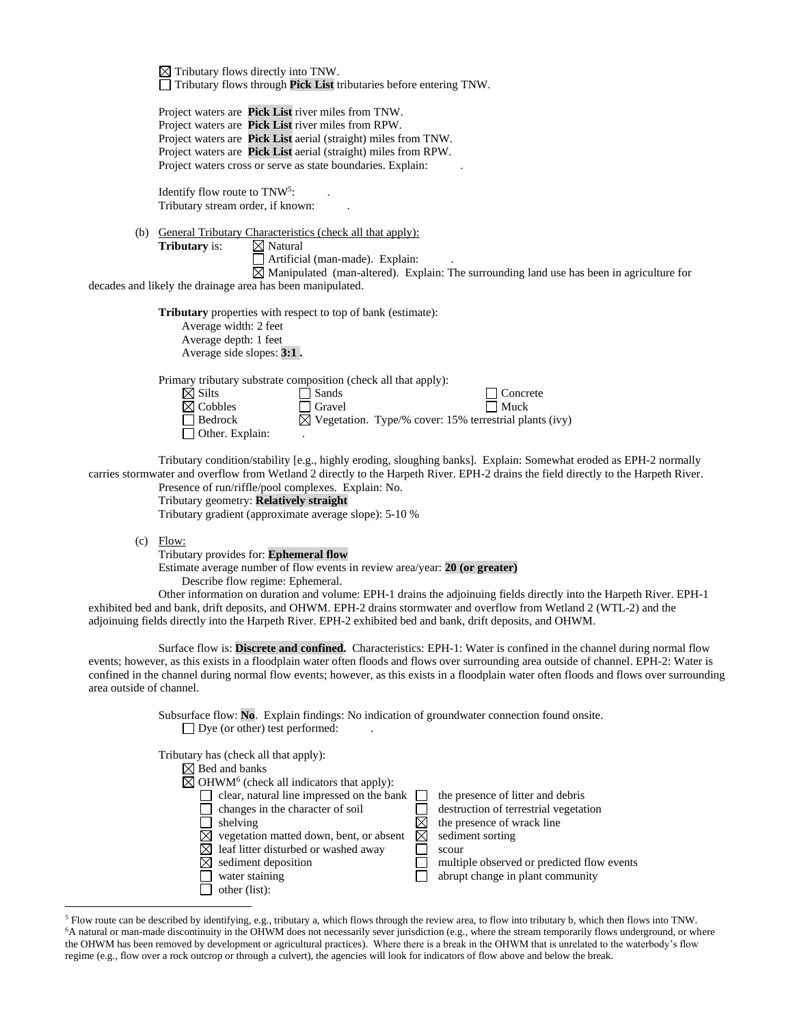$\boxtimes$  Tributary flows directly into TNW. Tributary flows through **Pick List** tributaries before entering TNW.

Project waters are **Pick List** river miles from TNW. Project waters are **Pick List** river miles from RPW. Project waters are **Pick List** aerial (straight) miles from TNW. Project waters are **Pick List** aerial (straight) miles from RPW. Project waters cross or serve as state boundaries. Explain:

Identify flow route to TNW<sup>5</sup>: . Tributary stream order, if known: .

(b) General Tributary Characteristics (check all that apply): **Tributary** is:  $\boxtimes$  Natural  $\Box$  Artificial (man-made). Explain:

 $\overline{\boxtimes}$  Manipulated (man-altered). Explain: The surrounding land use has been in agriculture for decades and likely the drainage area has been manipulated.

> **Tributary** properties with respect to top of bank (estimate): Average width: 2 feet Average depth: 1 feet Average side slopes: **3:1 .**

Primary tributary substrate composition (check all that apply):

| $\boxtimes$ Silts      | $\Box$ Sands  | $\Box$ Concrete                                                    |
|------------------------|---------------|--------------------------------------------------------------------|
| $\boxtimes$ Cobbles    | $\Box$ Gravel | $\Box$ Muck                                                        |
| $\Box$ Bedrock         |               | $\boxtimes$ Vegetation. Type/% cover: 15% terrestrial plants (ivy) |
| $\Box$ Other. Explain: |               |                                                                    |

Tributary condition/stability [e.g., highly eroding, sloughing banks]. Explain: Somewhat eroded as EPH-2 normally carries stormwater and overflow from Wetland 2 directly to the Harpeth River. EPH-2 drains the field directly to the Harpeth River.

Presence of run/riffle/pool complexes. Explain: No. Tributary geometry: **Relatively straight**

Tributary gradient (approximate average slope): 5-10 %

 $(c)$  Flow:

Tributary provides for: **Ephemeral flow**

Estimate average number of flow events in review area/year: **20 (or greater)**

Describe flow regime: Ephemeral.

Other information on duration and volume: EPH-1 drains the adjoinuing fields directly into the Harpeth River. EPH-1 exhibited bed and bank, drift deposits, and OHWM. EPH-2 drains stormwater and overflow from Wetland 2 (WTL-2) and the adjoinuing fields directly into the Harpeth River. EPH-2 exhibited bed and bank, drift deposits, and OHWM.

Surface flow is: **Discrete and confined.** Characteristics: EPH-1: Water is confined in the channel during normal flow events; however, as this exists in a floodplain water often floods and flows over surrounding area outside of channel. EPH-2: Water is confined in the channel during normal flow events; however, as this exists in a floodplain water often floods and flows over surrounding area outside of channel.

> Subsurface flow: **No**. Explain findings: No indication of groundwater connection found onsite.  $\Box$  Dye (or other) test performed:

| Tributary has (check all that apply):                            |                                            |
|------------------------------------------------------------------|--------------------------------------------|
| $\boxtimes$ Bed and banks                                        |                                            |
| $\boxtimes$ OHWM <sup>6</sup> (check all indicators that apply): |                                            |
| clear, natural line impressed on the bank                        | the presence of litter and debris          |
| changes in the character of soil                                 | destruction of terrestrial vegetation      |
| shelving                                                         | the presence of wrack line                 |
| vegetation matted down, bent, or absent                          | sediment sorting                           |
| leaf litter disturbed or washed away                             | scour                                      |
| sediment deposition                                              | multiple observed or predicted flow events |
| water staining                                                   | abrupt change in plant community           |
| other (list):                                                    |                                            |
|                                                                  |                                            |

<sup>5</sup> Flow route can be described by identifying, e.g., tributary a, which flows through the review area, to flow into tributary b, which then flows into TNW. <sup>6</sup>A natural or man-made discontinuity in the OHWM does not necessarily sever jurisdiction (e.g., where the stream temporarily flows underground, or where the OHWM has been removed by development or agricultural practices). Where there is a break in the OHWM that is unrelated to the waterbody's flow regime (e.g., flow over a rock outcrop or through a culvert), the agencies will look for indicators of flow above and below the break.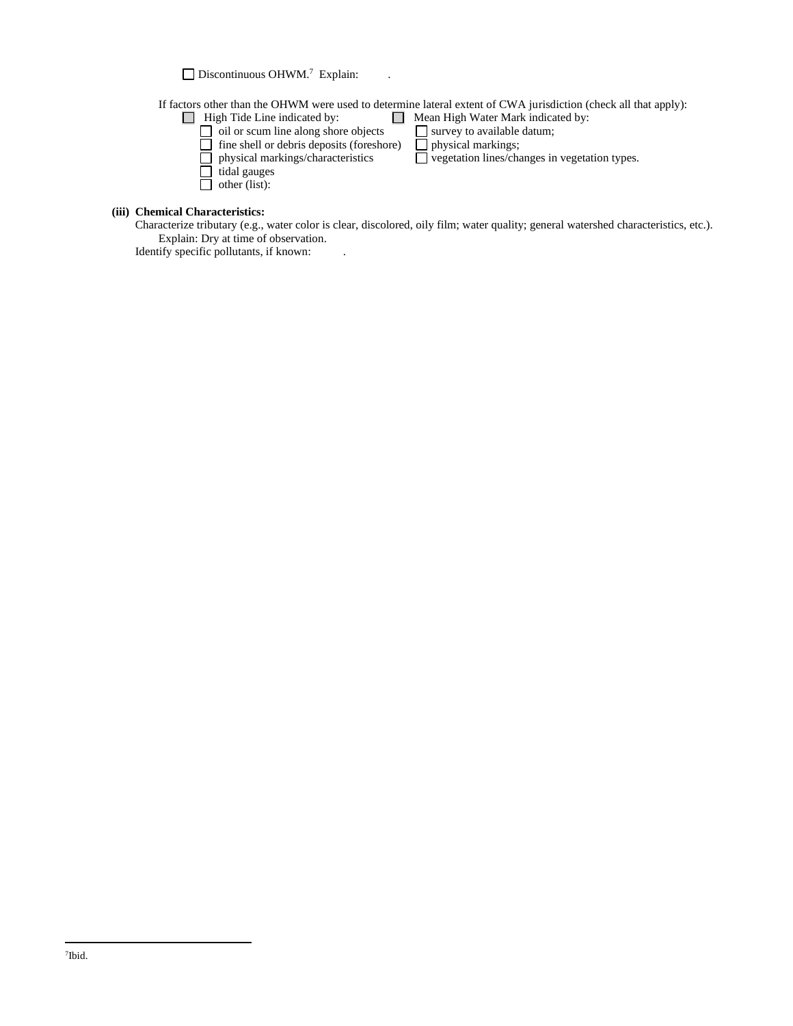Discontinuous OHWM.<sup>7</sup> Explain: .

If factors other than the OHWM were used to determine lateral extent of CWA jurisdiction (check all that apply):<br>  $\Box$  High Tide Line indicated by:<br>  $\Box$  Mean High Water Mark indicated by:

- 
- oil or scum line along shore objects  $\Box$  survey to available datum; fine shell or debris deposits (foreshore)  $\Box$  physical markings;
- 
- tidal gauges
- other (list):
- Mean High Water Mark indicated by:<br>
 survey to available datum;<br>
re) physical markings;
	- $\Box$  vegetation lines/changes in vegetation types.

**(iii) Chemical Characteristics:**

Characterize tributary (e.g., water color is clear, discolored, oily film; water quality; general watershed characteristics, etc.). Explain: Dry at time of observation.

Identify specific pollutants, if known: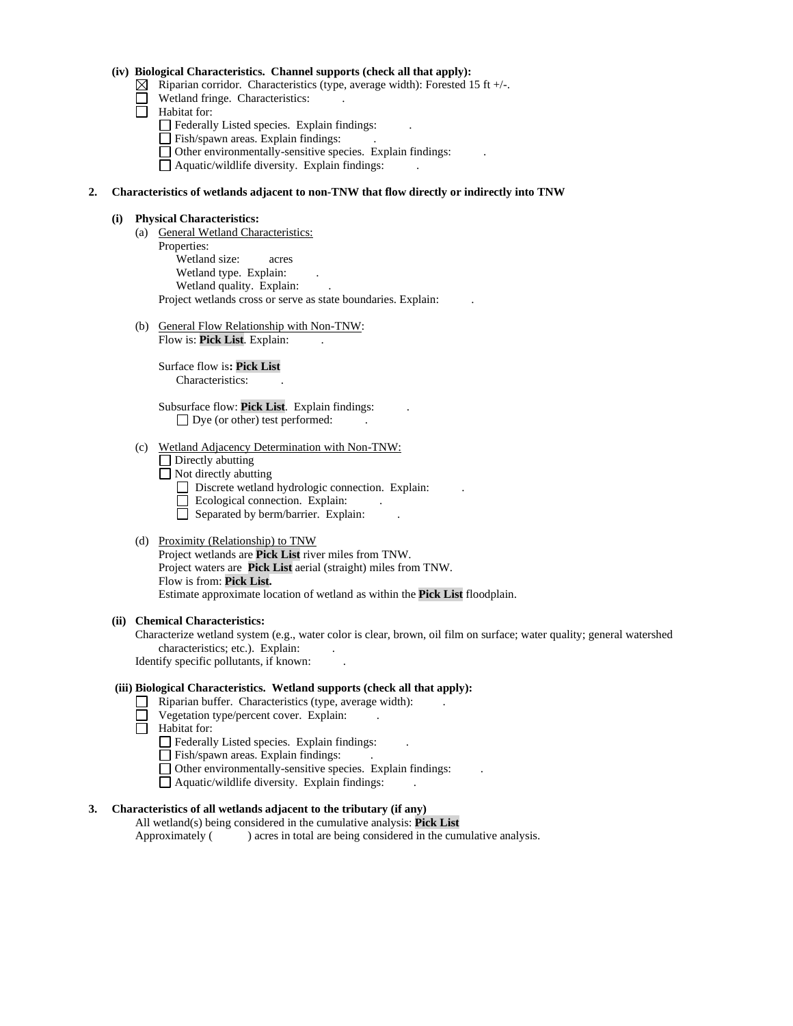### **(iv) Biological Characteristics. Channel supports (check all that apply):**

- $\boxtimes$  Riparian corridor. Characteristics (type, average width): Forested 15 ft +/-.
- Wetland fringe. Characteristics:
- $\Box$  Habitat for:
	- Federally Listed species. Explain findings:
	- Fish/spawn areas. Explain findings:
	- $\Box$  Other environmentally-sensitive species. Explain findings:
	- $\Box$  Aquatic/wildlife diversity. Explain findings:

### **2. Characteristics of wetlands adjacent to non-TNW that flow directly or indirectly into TNW**

#### **(i) Physical Characteristics:**

- (a) General Wetland Characteristics: Properties: Wetland size: acres Wetland type. Explain: Wetland quality. Explain: Project wetlands cross or serve as state boundaries. Explain: .
- (b) General Flow Relationship with Non-TNW: Flow is: Pick List. Explain:

Surface flow is**: Pick List**  Characteristics: .

Subsurface flow: **Pick List**. Explain findings: .  $\Box$  Dye (or other) test performed:

#### (c) Wetland Adjacency Determination with Non-TNW:

- $\Box$  Directly abutting
- Not directly abutting
	- Discrete wetland hydrologic connection. Explain:
	- Ecological connection. Explain:
	- $\Box$  Separated by berm/barrier. Explain:

### (d) Proximity (Relationship) to TNW

Project wetlands are **Pick List** river miles from TNW. Project waters are **Pick List** aerial (straight) miles from TNW. Flow is from: **Pick List.** Estimate approximate location of wetland as within the **Pick List** floodplain.

#### **(ii) Chemical Characteristics:**

Characterize wetland system (e.g., water color is clear, brown, oil film on surface; water quality; general watershed characteristics; etc.). Explain:

Identify specific pollutants, if known: .

### **(iii) Biological Characteristics. Wetland supports (check all that apply):**

- $\Box$  Riparian buffer. Characteristics (type, average width):
	- Vegetation type/percent cover. Explain: .
- Habitat for:
	- Federally Listed species. Explain findings:
	- Fish/spawn areas. Explain findings:
	- Other environmentally-sensitive species. Explain findings: .
	- $\Box$  Aquatic/wildlife diversity. Explain findings:

## **3. Characteristics of all wetlands adjacent to the tributary (if any)**

All wetland(s) being considered in the cumulative analysis: **Pick List** Approximately ( ) acres in total are being considered in the cumulative analysis.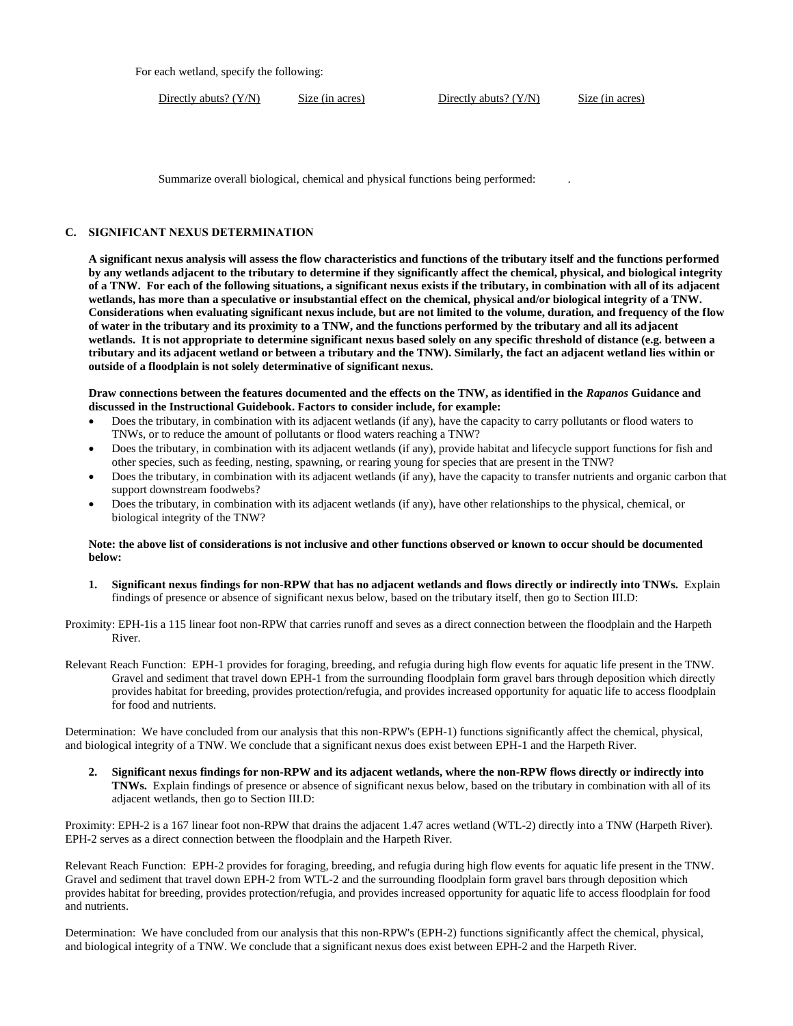For each wetland, specify the following:

Directly abuts? (Y/N) Size (in acres) Directly abuts? (Y/N) Size (in acres)

Summarize overall biological, chemical and physical functions being performed: .

### **C. SIGNIFICANT NEXUS DETERMINATION**

**A significant nexus analysis will assess the flow characteristics and functions of the tributary itself and the functions performed by any wetlands adjacent to the tributary to determine if they significantly affect the chemical, physical, and biological integrity of a TNW. For each of the following situations, a significant nexus exists if the tributary, in combination with all of its adjacent wetlands, has more than a speculative or insubstantial effect on the chemical, physical and/or biological integrity of a TNW. Considerations when evaluating significant nexus include, but are not limited to the volume, duration, and frequency of the flow of water in the tributary and its proximity to a TNW, and the functions performed by the tributary and all its adjacent wetlands. It is not appropriate to determine significant nexus based solely on any specific threshold of distance (e.g. between a tributary and its adjacent wetland or between a tributary and the TNW). Similarly, the fact an adjacent wetland lies within or outside of a floodplain is not solely determinative of significant nexus.**

**Draw connections between the features documented and the effects on the TNW, as identified in the** *Rapanos* **Guidance and discussed in the Instructional Guidebook. Factors to consider include, for example:**

- Does the tributary, in combination with its adjacent wetlands (if any), have the capacity to carry pollutants or flood waters to TNWs, or to reduce the amount of pollutants or flood waters reaching a TNW?
- Does the tributary, in combination with its adjacent wetlands (if any), provide habitat and lifecycle support functions for fish and other species, such as feeding, nesting, spawning, or rearing young for species that are present in the TNW?
- Does the tributary, in combination with its adjacent wetlands (if any), have the capacity to transfer nutrients and organic carbon that support downstream foodwebs?
- Does the tributary, in combination with its adjacent wetlands (if any), have other relationships to the physical, chemical, or biological integrity of the TNW?

#### **Note: the above list of considerations is not inclusive and other functions observed or known to occur should be documented below:**

**1. Significant nexus findings for non-RPW that has no adjacent wetlands and flows directly or indirectly into TNWs.** Explain findings of presence or absence of significant nexus below, based on the tributary itself, then go to Section III.D:

Proximity: EPH-1is a 115 linear foot non-RPW that carries runoff and seves as a direct connection between the floodplain and the Harpeth River.

Relevant Reach Function: EPH-1 provides for foraging, breeding, and refugia during high flow events for aquatic life present in the TNW. Gravel and sediment that travel down EPH-1 from the surrounding floodplain form gravel bars through deposition which directly provides habitat for breeding, provides protection/refugia, and provides increased opportunity for aquatic life to access floodplain for food and nutrients.

Determination: We have concluded from our analysis that this non-RPW's (EPH-1) functions significantly affect the chemical, physical, and biological integrity of a TNW. We conclude that a significant nexus does exist between EPH-1 and the Harpeth River.

**2. Significant nexus findings for non-RPW and its adjacent wetlands, where the non-RPW flows directly or indirectly into TNWs.** Explain findings of presence or absence of significant nexus below, based on the tributary in combination with all of its adjacent wetlands, then go to Section III.D:

Proximity: EPH-2 is a 167 linear foot non-RPW that drains the adjacent 1.47 acres wetland (WTL-2) directly into a TNW (Harpeth River). EPH-2 serves as a direct connection between the floodplain and the Harpeth River.

Relevant Reach Function: EPH-2 provides for foraging, breeding, and refugia during high flow events for aquatic life present in the TNW. Gravel and sediment that travel down EPH-2 from WTL-2 and the surrounding floodplain form gravel bars through deposition which provides habitat for breeding, provides protection/refugia, and provides increased opportunity for aquatic life to access floodplain for food and nutrients.

Determination: We have concluded from our analysis that this non-RPW's (EPH-2) functions significantly affect the chemical, physical, and biological integrity of a TNW. We conclude that a significant nexus does exist between EPH-2 and the Harpeth River.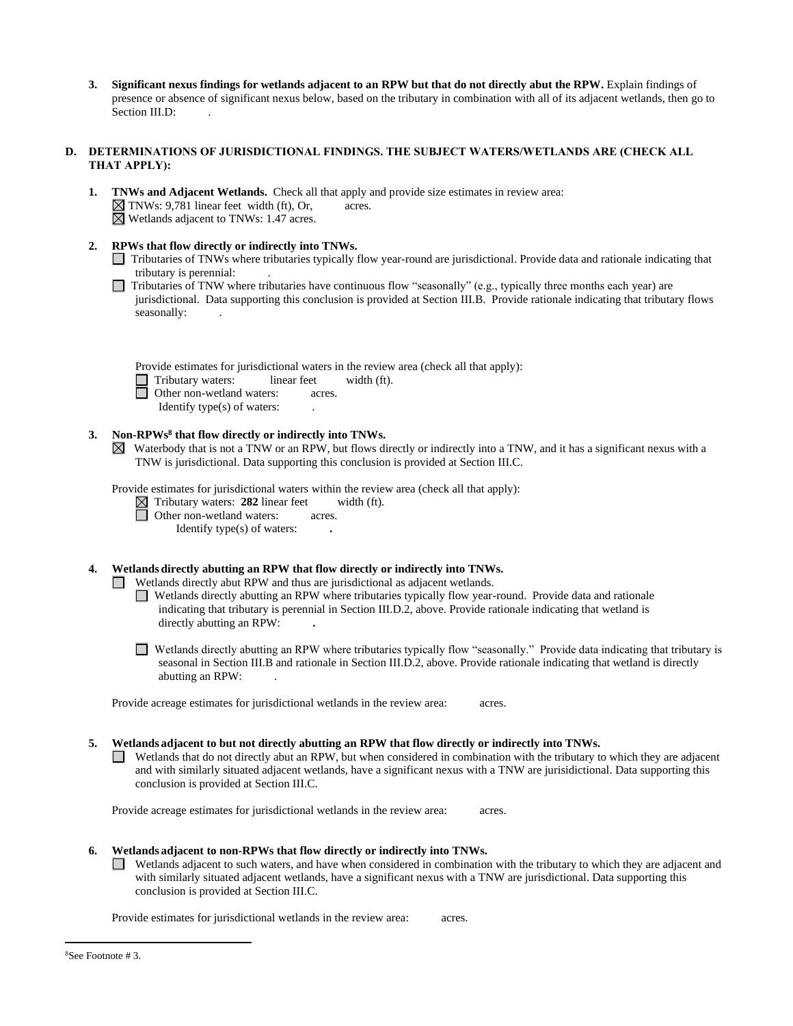**3. Significant nexus findings for wetlands adjacent to an RPW but that do not directly abut the RPW.** Explain findings of presence or absence of significant nexus below, based on the tributary in combination with all of its adjacent wetlands, then go to Section III.D:

# **D. DETERMINATIONS OF JURISDICTIONAL FINDINGS. THE SUBJECT WATERS/WETLANDS ARE (CHECK ALL THAT APPLY):**

- **1. TNWs and Adjacent Wetlands.** Check all that apply and provide size estimates in review area:  $\boxtimes$  TNWs: 9,781 linear feet width (ft), Or, acres.  $\boxtimes$  Wetlands adjacent to TNWs: 1.47 acres.
- **2. RPWs that flow directly or indirectly into TNWs.**
	- Tributaries of TNWs where tributaries typically flow year-round are jurisdictional. Provide data and rationale indicating that tributary is perennial: .
	- $\Box$  Tributaries of TNW where tributaries have continuous flow "seasonally" (e.g., typically three months each year) are jurisdictional. Data supporting this conclusion is provided at Section III.B. Provide rationale indicating that tributary flows seasonally:

|  | Provide estimates for jurisdictional waters in the review area (check all that apply): |  |  |  |
|--|----------------------------------------------------------------------------------------|--|--|--|
|  |                                                                                        |  |  |  |

Tributary waters: linear feet width (ft).

Other non-wetland waters: acres.

Identify type(s) of waters: .

## **3. Non-RPWs<sup>8</sup> that flow directly or indirectly into TNWs.**

Waterbody that is not a TNW or an RPW, but flows directly or indirectly into a TNW, and it has a significant nexus with a TNW is jurisdictional. Data supporting this conclusion is provided at Section III.C.

Provide estimates for jurisdictional waters within the review area (check all that apply):

 $\boxtimes$  Tributary waters: 282 linear feet width (ft).

□ Other non-wetland waters: acres.

Identify type(s) of waters: **.**

**4. Wetlands directly abutting an RPW that flow directly or indirectly into TNWs.**

Wetlands directly abut RPW and thus are jurisdictional as adjacent wetlands.

Wetlands directly abutting an RPW where tributaries typically flow year-round. Provide data and rationale indicating that tributary is perennial in Section III.D.2, above. Provide rationale indicating that wetland is directly abutting an RPW: **.**

Wetlands directly abutting an RPW where tributaries typically flow "seasonally." Provide data indicating that tributary is seasonal in Section III.B and rationale in Section III.D.2, above. Provide rationale indicating that wetland is directly abutting an RPW: .

Provide acreage estimates for jurisdictional wetlands in the review area: acres.

#### **5. Wetlands adjacent to but not directly abutting an RPW that flow directly or indirectly into TNWs.**

 $\Box$  Wetlands that do not directly abut an RPW, but when considered in combination with the tributary to which they are adjacent and with similarly situated adjacent wetlands, have a significant nexus with a TNW are jurisidictional. Data supporting this conclusion is provided at Section III.C.

Provide acreage estimates for jurisdictional wetlands in the review area: acres.

- **6. Wetlands adjacent to non-RPWs that flow directly or indirectly into TNWs.**
	- Wetlands adjacent to such waters, and have when considered in combination with the tributary to which they are adjacent and  $\mathcal{L}$ with similarly situated adjacent wetlands, have a significant nexus with a TNW are jurisdictional. Data supporting this conclusion is provided at Section III.C.

Provide estimates for jurisdictional wetlands in the review area: acres.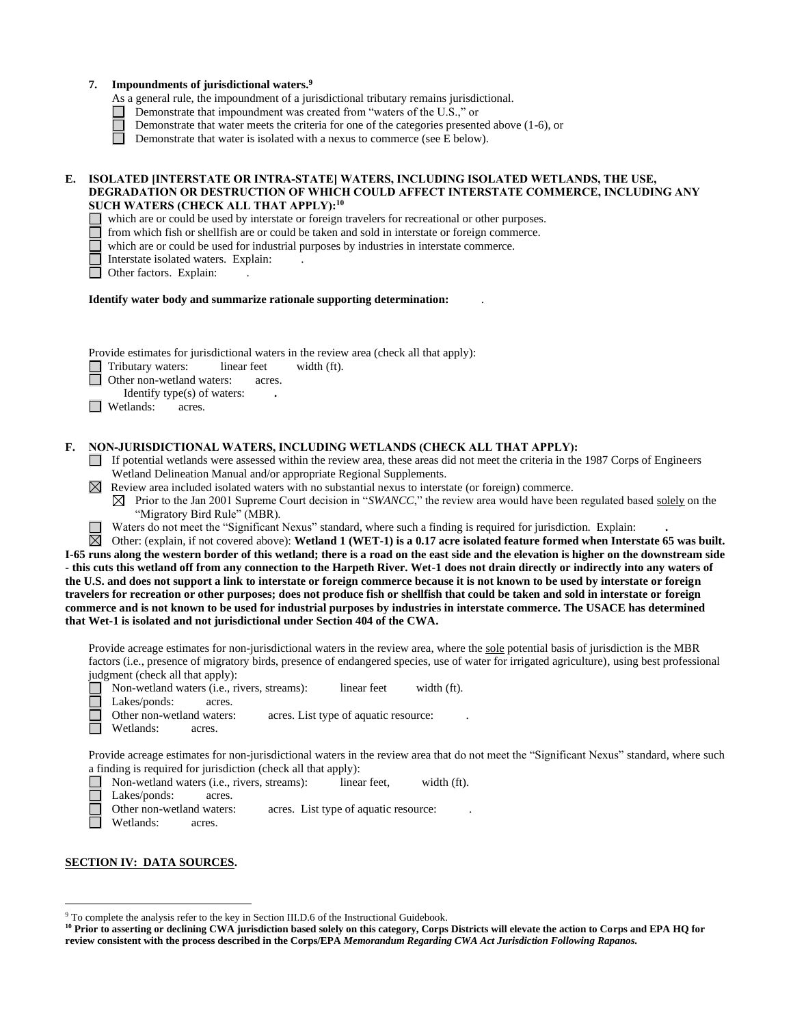|    | Impoundments of jurisdictional waters. <sup>9</sup><br>7.<br>As a general rule, the impoundment of a jurisdictional tributary remains jurisdictional.<br>Demonstrate that impoundment was created from "waters of the U.S.," or<br>Demonstrate that water meets the criteria for one of the categories presented above $(1-6)$ , or<br>Demonstrate that water is isolated with a nexus to commerce (see E below).                                                                                                                                                                                                                                                                                                                                                                                                                                                                                                                                                                                                                                                                                                                                                                                                                                                                                                                                                                                                                                                                                                                                                                                              |
|----|----------------------------------------------------------------------------------------------------------------------------------------------------------------------------------------------------------------------------------------------------------------------------------------------------------------------------------------------------------------------------------------------------------------------------------------------------------------------------------------------------------------------------------------------------------------------------------------------------------------------------------------------------------------------------------------------------------------------------------------------------------------------------------------------------------------------------------------------------------------------------------------------------------------------------------------------------------------------------------------------------------------------------------------------------------------------------------------------------------------------------------------------------------------------------------------------------------------------------------------------------------------------------------------------------------------------------------------------------------------------------------------------------------------------------------------------------------------------------------------------------------------------------------------------------------------------------------------------------------------|
| E. | ISOLATED [INTERSTATE OR INTRA-STATE] WATERS, INCLUDING ISOLATED WETLANDS, THE USE,<br>DEGRADATION OR DESTRUCTION OF WHICH COULD AFFECT INTERSTATE COMMERCE, INCLUDING ANY<br>SUCH WATERS (CHECK ALL THAT APPLY): <sup>10</sup><br>which are or could be used by interstate or foreign travelers for recreational or other purposes.<br>from which fish or shellfish are or could be taken and sold in interstate or foreign commerce.<br>which are or could be used for industrial purposes by industries in interstate commerce.<br>Interstate isolated waters. Explain:<br>Other factors. Explain:                                                                                                                                                                                                                                                                                                                                                                                                                                                                                                                                                                                                                                                                                                                                                                                                                                                                                                                                                                                                           |
|    | Identify water body and summarize rationale supporting determination:                                                                                                                                                                                                                                                                                                                                                                                                                                                                                                                                                                                                                                                                                                                                                                                                                                                                                                                                                                                                                                                                                                                                                                                                                                                                                                                                                                                                                                                                                                                                          |
|    | Provide estimates for jurisdictional waters in the review area (check all that apply):<br>Tributary waters:<br>linear feet<br>width (ft).<br>Other non-wetland waters:<br>acres.<br>Identify type(s) of waters:<br>$\Box$ Wetlands:<br>acres.                                                                                                                                                                                                                                                                                                                                                                                                                                                                                                                                                                                                                                                                                                                                                                                                                                                                                                                                                                                                                                                                                                                                                                                                                                                                                                                                                                  |
| F. | NON-JURISDICTIONAL WATERS, INCLUDING WETLANDS (CHECK ALL THAT APPLY):<br>If potential wetlands were assessed within the review area, these areas did not meet the criteria in the 1987 Corps of Engineers<br>Wetland Delineation Manual and/or appropriate Regional Supplements.<br>$\boxtimes$ Review area included isolated waters with no substantial nexus to interstate (or foreign) commerce.<br>Prior to the Jan 2001 Supreme Court decision in "SWANCC," the review area would have been regulated based solely on the<br>⊠<br>"Migratory Bird Rule" (MBR).<br>Waters do not meet the "Significant Nexus" standard, where such a finding is required for jurisdiction. Explain:<br>⊠<br>Other: (explain, if not covered above): Wetland 1 (WET-1) is a 0.17 acre isolated feature formed when Interstate 65 was built.<br>I-65 runs along the western border of this wetland; there is a road on the east side and the elevation is higher on the downstream side<br>- this cuts this wetland off from any connection to the Harpeth River. Wet-1 does not drain directly or indirectly into any waters of<br>the U.S. and does not support a link to interstate or foreign commerce because it is not known to be used by interstate or foreign<br>travelers for recreation or other purposes; does not produce fish or shellfish that could be taken and sold in interstate or foreign<br>commerce and is not known to be used for industrial purposes by industries in interstate commerce. The USACE has determined<br>that Wet-1 is isolated and not jurisdictional under Section 404 of the CWA. |
|    | Provide acreage estimates for non-jurisdictional waters in the review area, where the sole potential basis of jurisdiction is the MBR<br>factors (i.e., presence of migratory birds, presence of endangered species, use of water for irrigated agriculture), using best professional<br>judgment (check all that apply):<br>linear feet<br>Non-wetland waters (i.e., rivers, streams):<br>width (ft).<br>Lakes/ponds:<br>acres.<br>Other non-wetland waters:<br>acres. List type of aquatic resource:<br>Wetlands:<br>acres.                                                                                                                                                                                                                                                                                                                                                                                                                                                                                                                                                                                                                                                                                                                                                                                                                                                                                                                                                                                                                                                                                  |
|    | Provide acreage estimates for non-jurisdictional waters in the review area that do not meet the "Significant Nexus" standard, where such<br>a finding is required for jurisdiction (check all that apply):<br>width (ft).<br>Non-wetland waters (i.e., rivers, streams):<br>linear feet,<br>Lakes/ponds:<br>acres.<br>Other non-wetland waters:<br>acres. List type of aquatic resource:<br>Wetlands:<br>acres.                                                                                                                                                                                                                                                                                                                                                                                                                                                                                                                                                                                                                                                                                                                                                                                                                                                                                                                                                                                                                                                                                                                                                                                                |
|    | <b>SECTION IV: DATA SOURCES.</b>                                                                                                                                                                                                                                                                                                                                                                                                                                                                                                                                                                                                                                                                                                                                                                                                                                                                                                                                                                                                                                                                                                                                                                                                                                                                                                                                                                                                                                                                                                                                                                               |

 $9^9$  To complete the analysis refer to the key in Section III.D.6 of the Instructional Guidebook.

**<sup>10</sup> Prior to asserting or declining CWA jurisdiction based solely on this category, Corps Districts will elevate the action to Corps and EPA HQ for review consistent with the process described in the Corps/EPA** *Memorandum Regarding CWA Act Jurisdiction Following Rapanos.*